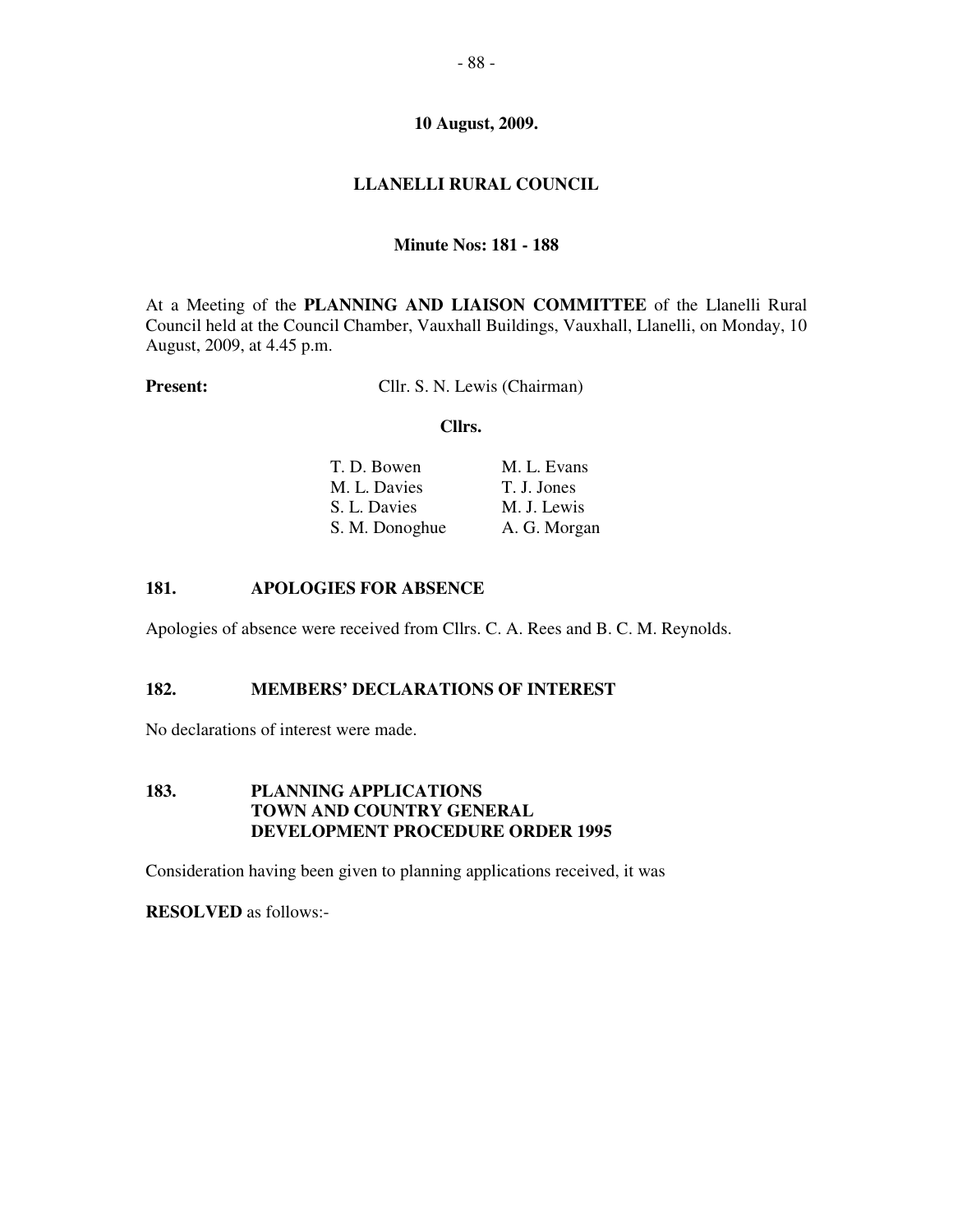# **LLANELLI RURAL COUNCIL**

# **Minute Nos: 181 - 188**

At a Meeting of the **PLANNING AND LIAISON COMMITTEE** of the Llanelli Rural Council held at the Council Chamber, Vauxhall Buildings, Vauxhall, Llanelli, on Monday, 10 August, 2009, at 4.45 p.m.

**Present:** Cllr. S. N. Lewis (Chairman)

#### **Cllrs.**

| T. D. Bowen    | M. L. Evans  |
|----------------|--------------|
| M. L. Davies   | T. J. Jones  |
| S. L. Davies   | M. J. Lewis  |
| S. M. Donoghue | A. G. Morgan |

## **181. APOLOGIES FOR ABSENCE**

Apologies of absence were received from Cllrs. C. A. Rees and B. C. M. Reynolds.

## **182. MEMBERS' DECLARATIONS OF INTEREST**

No declarations of interest were made.

## **183. PLANNING APPLICATIONS TOWN AND COUNTRY GENERAL DEVELOPMENT PROCEDURE ORDER 1995**

Consideration having been given to planning applications received, it was

**RESOLVED** as follows:-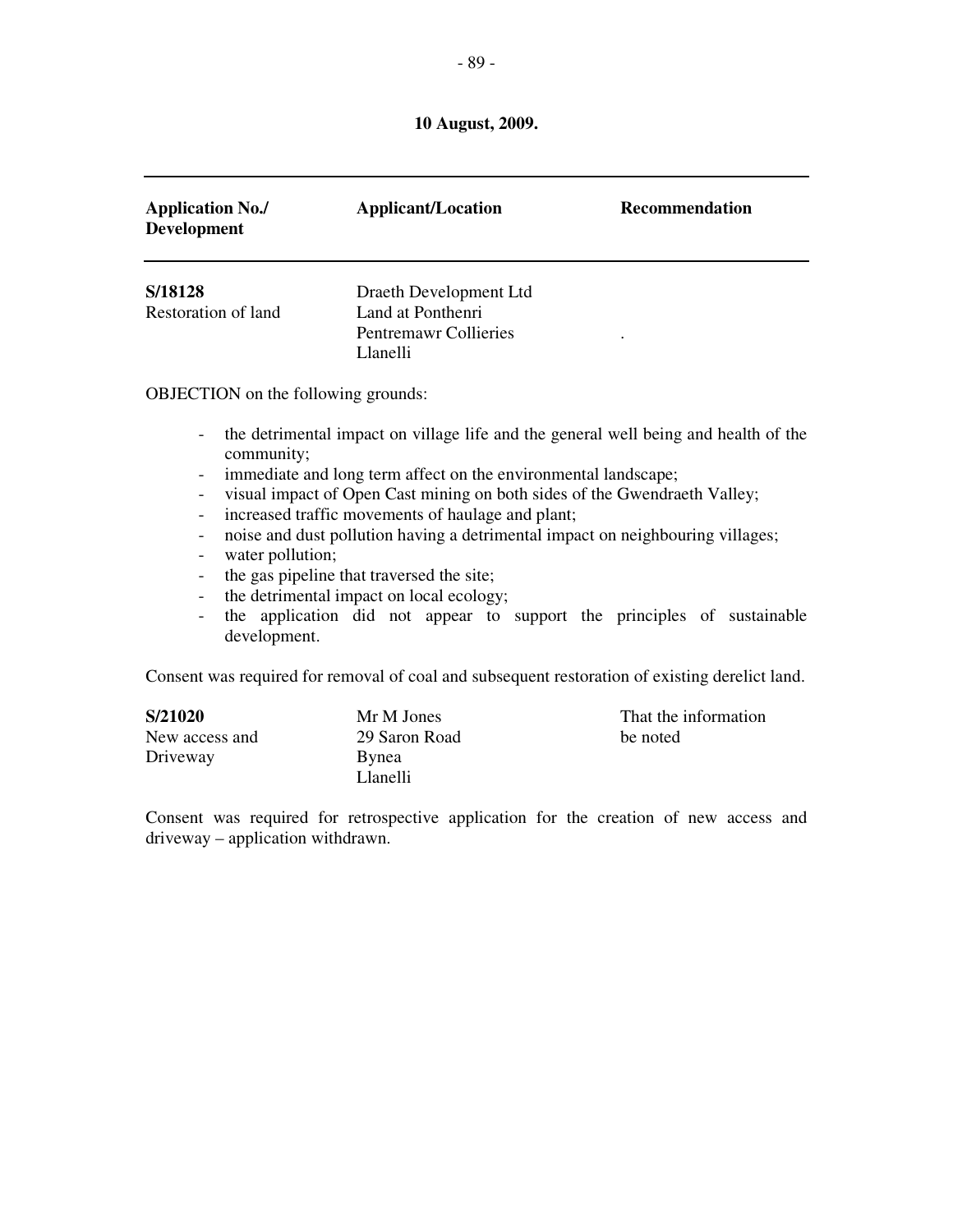| <b>Application No./</b><br><b>Development</b> | <b>Applicant/Location</b>                                                        | <b>Recommendation</b> |
|-----------------------------------------------|----------------------------------------------------------------------------------|-----------------------|
| S/18128<br>Restoration of land                | Draeth Development Ltd<br>Land at Ponthenri<br>Pentremawr Collieries<br>Llanelli | ٠                     |

OBJECTION on the following grounds:

- the detrimental impact on village life and the general well being and health of the community;
- immediate and long term affect on the environmental landscape;
- visual impact of Open Cast mining on both sides of the Gwendraeth Valley;
- increased traffic movements of haulage and plant;
- noise and dust pollution having a detrimental impact on neighbouring villages;
- water pollution;
- the gas pipeline that traversed the site;
- the detrimental impact on local ecology;
- the application did not appear to support the principles of sustainable development.

Consent was required for removal of coal and subsequent restoration of existing derelict land.

| S/21020        | Mr M Jones    | That the information |
|----------------|---------------|----------------------|
| New access and | 29 Saron Road | be noted             |
| Driveway       | Bynea         |                      |
|                | Llanelli      |                      |

Consent was required for retrospective application for the creation of new access and driveway – application withdrawn.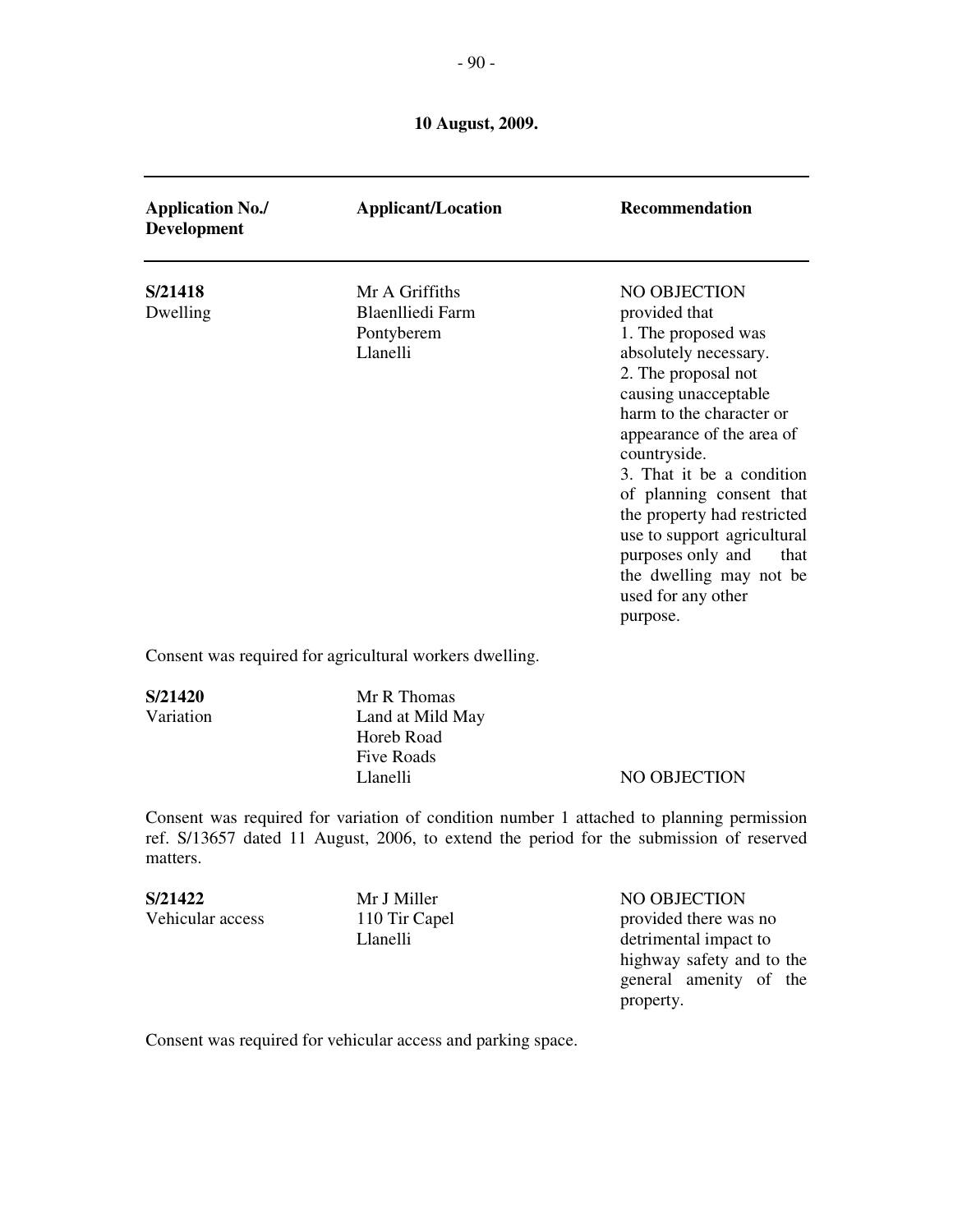| <b>Application No./</b><br>Development | <b>Applicant/Location</b>                                           | <b>Recommendation</b>                                                                                                                                                                                                                                                                                                                                                                                                  |
|----------------------------------------|---------------------------------------------------------------------|------------------------------------------------------------------------------------------------------------------------------------------------------------------------------------------------------------------------------------------------------------------------------------------------------------------------------------------------------------------------------------------------------------------------|
| S/21418<br>Dwelling                    | Mr A Griffiths<br><b>Blaenlliedi Farm</b><br>Pontyberem<br>Llanelli | NO OBJECTION<br>provided that<br>1. The proposed was<br>absolutely necessary.<br>2. The proposal not<br>causing unacceptable<br>harm to the character or<br>appearance of the area of<br>countryside.<br>3. That it be a condition<br>of planning consent that<br>the property had restricted<br>use to support agricultural<br>purposes only and<br>that<br>the dwelling may not be<br>used for any other<br>purpose. |

Consent was required for agricultural workers dwelling.

**S/21420** Mr R Thomas Variation Land at Mild May Horeb Road Five Roads

Llanelli NO OBJECTION

Consent was required for variation of condition number 1 attached to planning permission ref. S/13657 dated 11 August, 2006, to extend the period for the submission of reserved matters.

## **S/21422** Mr J Miller NO OBJECTION<br>Vehicular access 110 Tir Capel there was Vehicular access 110 Tir Capel provided there was no Llanelli detrimental impact to highway safety and to the general amenity of the property.

Consent was required for vehicular access and parking space.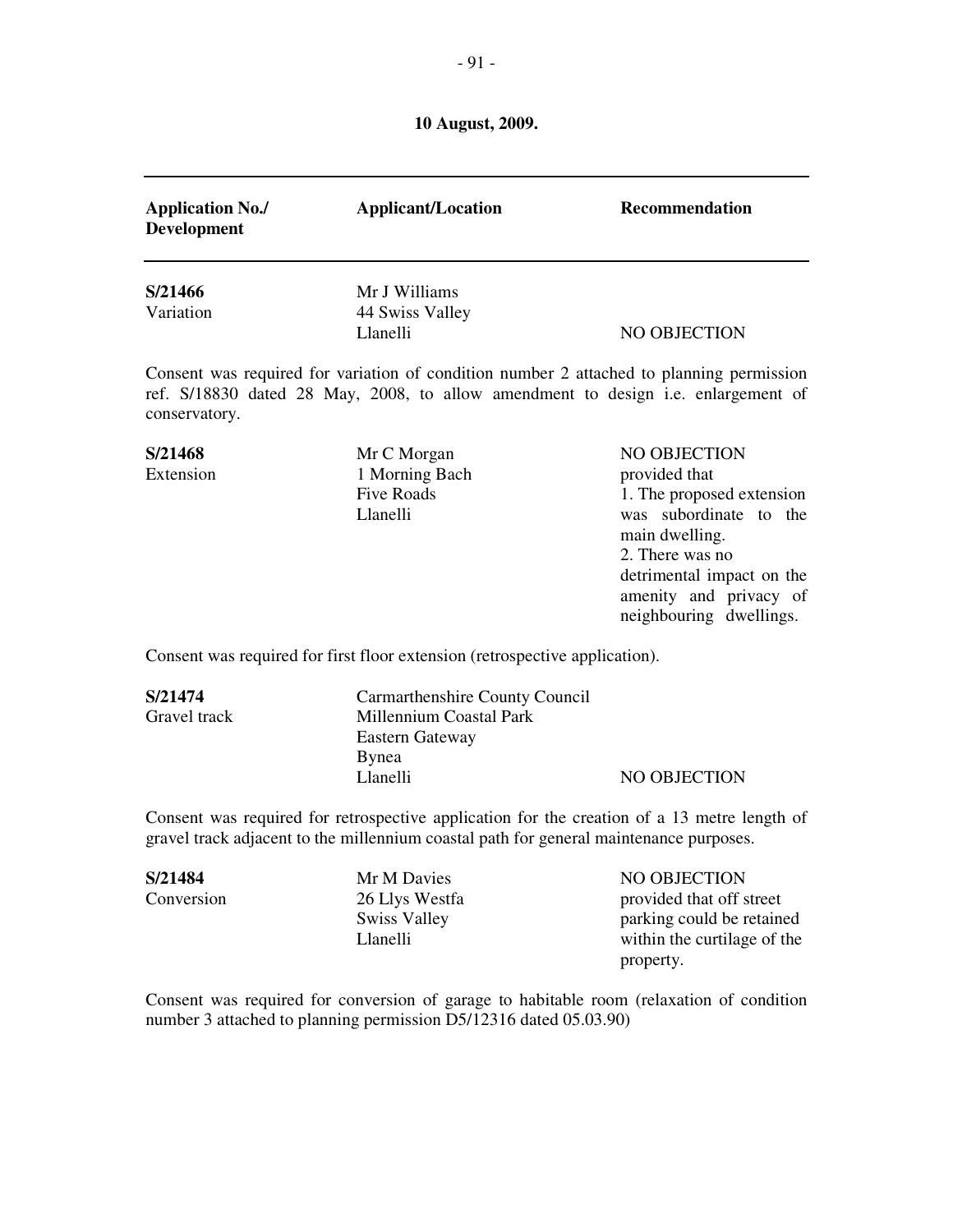| <b>Application No./</b><br><b>Development</b> | <b>Applicant/Location</b>                                                                                                                                                             | Recommendation                                                                                                                                                                                              |
|-----------------------------------------------|---------------------------------------------------------------------------------------------------------------------------------------------------------------------------------------|-------------------------------------------------------------------------------------------------------------------------------------------------------------------------------------------------------------|
| S/21466<br>Variation                          | Mr J Williams<br>44 Swiss Valley<br>Llanelli                                                                                                                                          | NO OBJECTION                                                                                                                                                                                                |
| conservatory.                                 | Consent was required for variation of condition number 2 attached to planning permission<br>ref. S/18830 dated 28 May, 2008, to allow amendment to design i.e. enlargement of         |                                                                                                                                                                                                             |
| S/21468<br>Extension                          | Mr C Morgan<br>1 Morning Bach<br><b>Five Roads</b><br>Llanelli                                                                                                                        | NO OBJECTION<br>provided that<br>1. The proposed extension<br>was subordinate to the<br>main dwelling.<br>2. There was no<br>detrimental impact on the<br>amenity and privacy of<br>neighbouring dwellings. |
|                                               | Consent was required for first floor extension (retrospective application).                                                                                                           |                                                                                                                                                                                                             |
| S/21474<br>Gravel track                       | Carmarthenshire County Council<br><b>Millennium Coastal Park</b><br><b>Eastern Gateway</b><br><b>Bynea</b><br>Llanelli                                                                | NO OBJECTION                                                                                                                                                                                                |
|                                               | Consent was required for retrospective application for the creation of a 13 metre length of<br>gravel track adjacent to the millennium coastal path for general maintenance purposes. |                                                                                                                                                                                                             |

**S/21484** Mr M Davies NO OBJECTION<br>Conversion 26 Llys Westfa provided that off s 26 Llys Westfa provided that off street<br>Swiss Valley parking could be retained Swiss Valley parking could be retained<br>
Llanelli within the curtilage of the within the curtilage of the property.

Consent was required for conversion of garage to habitable room (relaxation of condition number 3 attached to planning permission D5/12316 dated 05.03.90)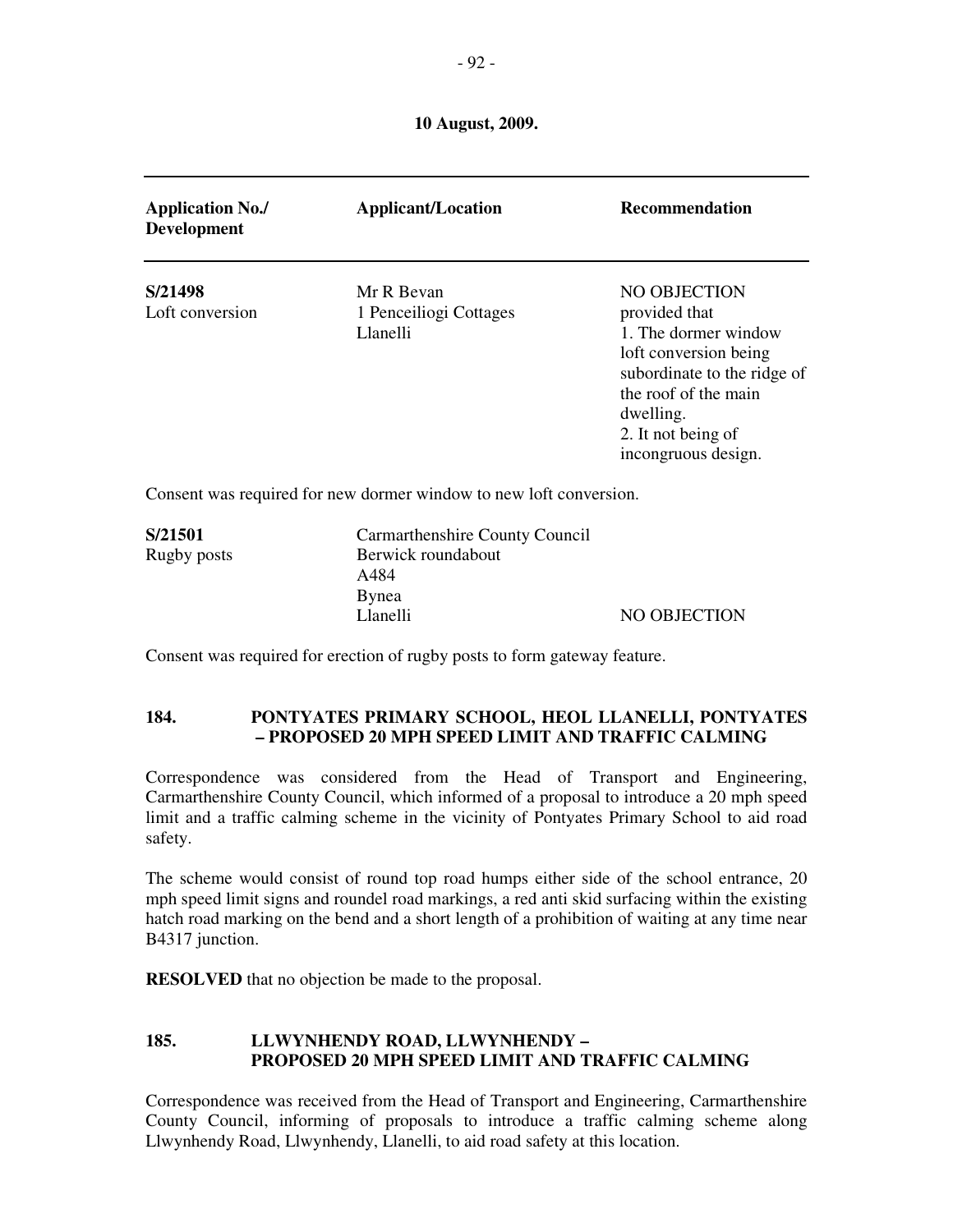| <b>Application No./</b><br><b>Development</b> | <b>Applicant/Location</b>                                          | <b>Recommendation</b>                                                                                                                                                                           |
|-----------------------------------------------|--------------------------------------------------------------------|-------------------------------------------------------------------------------------------------------------------------------------------------------------------------------------------------|
| S/21498<br>Loft conversion                    | Mr R Bevan<br>1 Penceiliogi Cottages<br>Llanelli                   | NO OBJECTION<br>provided that<br>1. The dormer window<br>loft conversion being<br>subordinate to the ridge of<br>the roof of the main<br>dwelling.<br>2. It not being of<br>incongruous design. |
|                                               | Consent was required for new dormer window to new loft conversion. |                                                                                                                                                                                                 |
| S/21501<br>Rugby posts                        | Carmarthenshire County Council<br>Berwick roundabout<br>A484       |                                                                                                                                                                                                 |

Consent was required for erection of rugby posts to form gateway feature.

Bynea

## **184. PONTYATES PRIMARY SCHOOL, HEOL LLANELLI, PONTYATES – PROPOSED 20 MPH SPEED LIMIT AND TRAFFIC CALMING**

Llanelli NO OBJECTION

Correspondence was considered from the Head of Transport and Engineering, Carmarthenshire County Council, which informed of a proposal to introduce a 20 mph speed limit and a traffic calming scheme in the vicinity of Pontyates Primary School to aid road safety.

The scheme would consist of round top road humps either side of the school entrance, 20 mph speed limit signs and roundel road markings, a red anti skid surfacing within the existing hatch road marking on the bend and a short length of a prohibition of waiting at any time near B4317 junction.

**RESOLVED** that no objection be made to the proposal.

## **185. LLWYNHENDY ROAD, LLWYNHENDY – PROPOSED 20 MPH SPEED LIMIT AND TRAFFIC CALMING**

Correspondence was received from the Head of Transport and Engineering, Carmarthenshire County Council, informing of proposals to introduce a traffic calming scheme along Llwynhendy Road, Llwynhendy, Llanelli, to aid road safety at this location.